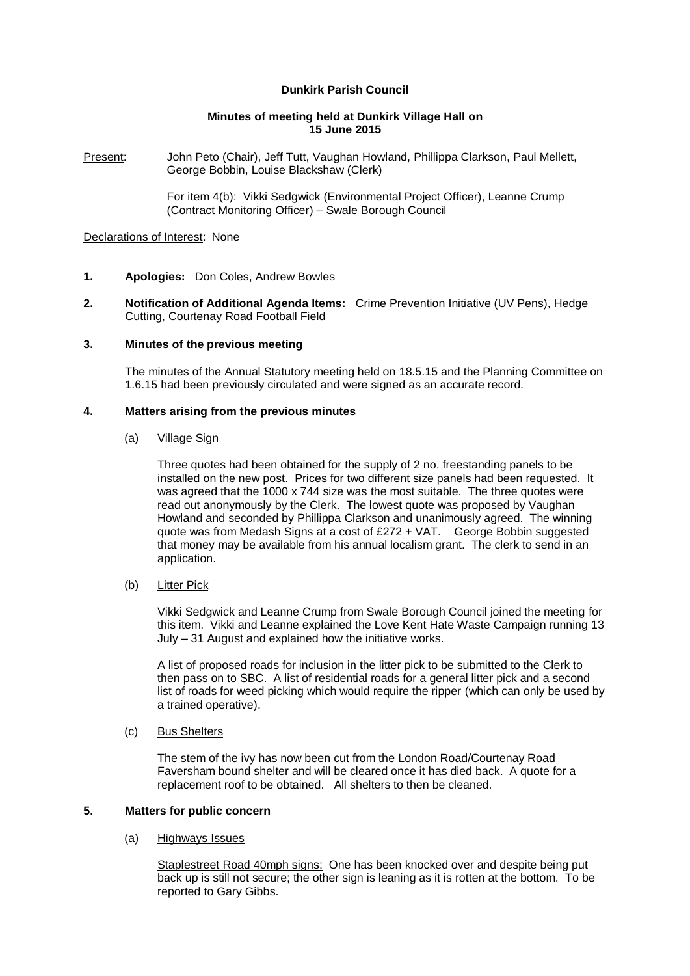# **Dunkirk Parish Council**

### **Minutes of meeting held at Dunkirk Village Hall on 15 June 2015**

Present: John Peto (Chair), Jeff Tutt, Vaughan Howland, Phillippa Clarkson, Paul Mellett, George Bobbin, Louise Blackshaw (Clerk)

> For item 4(b): Vikki Sedgwick (Environmental Project Officer), Leanne Crump (Contract Monitoring Officer) – Swale Borough Council

#### Declarations of Interest: None

- **1. Apologies:** Don Coles, Andrew Bowles
- **2. Notification of Additional Agenda Items:** Crime Prevention Initiative (UV Pens), Hedge Cutting, Courtenay Road Football Field

### **3. Minutes of the previous meeting**

The minutes of the Annual Statutory meeting held on 18.5.15 and the Planning Committee on 1.6.15 had been previously circulated and were signed as an accurate record.

# **4. Matters arising from the previous minutes**

#### (a) Village Sign

Three quotes had been obtained for the supply of 2 no. freestanding panels to be installed on the new post. Prices for two different size panels had been requested. It was agreed that the 1000 x 744 size was the most suitable. The three quotes were read out anonymously by the Clerk. The lowest quote was proposed by Vaughan Howland and seconded by Phillippa Clarkson and unanimously agreed. The winning quote was from Medash Signs at a cost of £272 + VAT. George Bobbin suggested that money may be available from his annual localism grant. The clerk to send in an application.

### (b) Litter Pick

Vikki Sedgwick and Leanne Crump from Swale Borough Council joined the meeting for this item. Vikki and Leanne explained the Love Kent Hate Waste Campaign running 13 July – 31 August and explained how the initiative works.

A list of proposed roads for inclusion in the litter pick to be submitted to the Clerk to then pass on to SBC. A list of residential roads for a general litter pick and a second list of roads for weed picking which would require the ripper (which can only be used by a trained operative).

#### (c) Bus Shelters

The stem of the ivy has now been cut from the London Road/Courtenay Road Faversham bound shelter and will be cleared once it has died back. A quote for a replacement roof to be obtained. All shelters to then be cleaned.

### **5. Matters for public concern**

#### (a) Highways Issues

Staplestreet Road 40mph signs: One has been knocked over and despite being put back up is still not secure; the other sign is leaning as it is rotten at the bottom. To be reported to Gary Gibbs.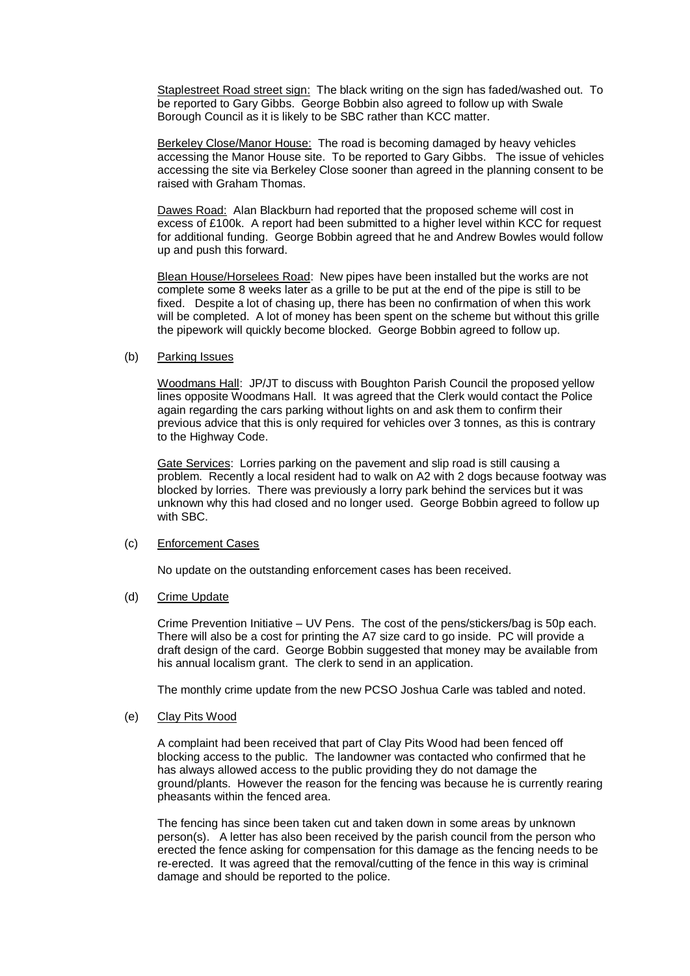Staplestreet Road street sign: The black writing on the sign has faded/washed out. To be reported to Gary Gibbs. George Bobbin also agreed to follow up with Swale Borough Council as it is likely to be SBC rather than KCC matter.

Berkeley Close/Manor House: The road is becoming damaged by heavy vehicles accessing the Manor House site. To be reported to Gary Gibbs. The issue of vehicles accessing the site via Berkeley Close sooner than agreed in the planning consent to be raised with Graham Thomas.

Dawes Road: Alan Blackburn had reported that the proposed scheme will cost in excess of £100k. A report had been submitted to a higher level within KCC for request for additional funding. George Bobbin agreed that he and Andrew Bowles would follow up and push this forward.

Blean House/Horselees Road: New pipes have been installed but the works are not complete some 8 weeks later as a grille to be put at the end of the pipe is still to be fixed. Despite a lot of chasing up, there has been no confirmation of when this work will be completed. A lot of money has been spent on the scheme but without this grille the pipework will quickly become blocked. George Bobbin agreed to follow up.

### (b) Parking Issues

Woodmans Hall: JP/JT to discuss with Boughton Parish Council the proposed yellow lines opposite Woodmans Hall. It was agreed that the Clerk would contact the Police again regarding the cars parking without lights on and ask them to confirm their previous advice that this is only required for vehicles over 3 tonnes, as this is contrary to the Highway Code.

Gate Services: Lorries parking on the pavement and slip road is still causing a problem. Recently a local resident had to walk on A2 with 2 dogs because footway was blocked by lorries. There was previously a lorry park behind the services but it was unknown why this had closed and no longer used. George Bobbin agreed to follow up with SBC.

### (c) Enforcement Cases

No update on the outstanding enforcement cases has been received.

### (d) Crime Update

Crime Prevention Initiative – UV Pens. The cost of the pens/stickers/bag is 50p each. There will also be a cost for printing the A7 size card to go inside. PC will provide a draft design of the card. George Bobbin suggested that money may be available from his annual localism grant. The clerk to send in an application.

The monthly crime update from the new PCSO Joshua Carle was tabled and noted.

# (e) Clay Pits Wood

A complaint had been received that part of Clay Pits Wood had been fenced off blocking access to the public. The landowner was contacted who confirmed that he has always allowed access to the public providing they do not damage the ground/plants. However the reason for the fencing was because he is currently rearing pheasants within the fenced area.

The fencing has since been taken cut and taken down in some areas by unknown person(s). A letter has also been received by the parish council from the person who erected the fence asking for compensation for this damage as the fencing needs to be re-erected. It was agreed that the removal/cutting of the fence in this way is criminal damage and should be reported to the police.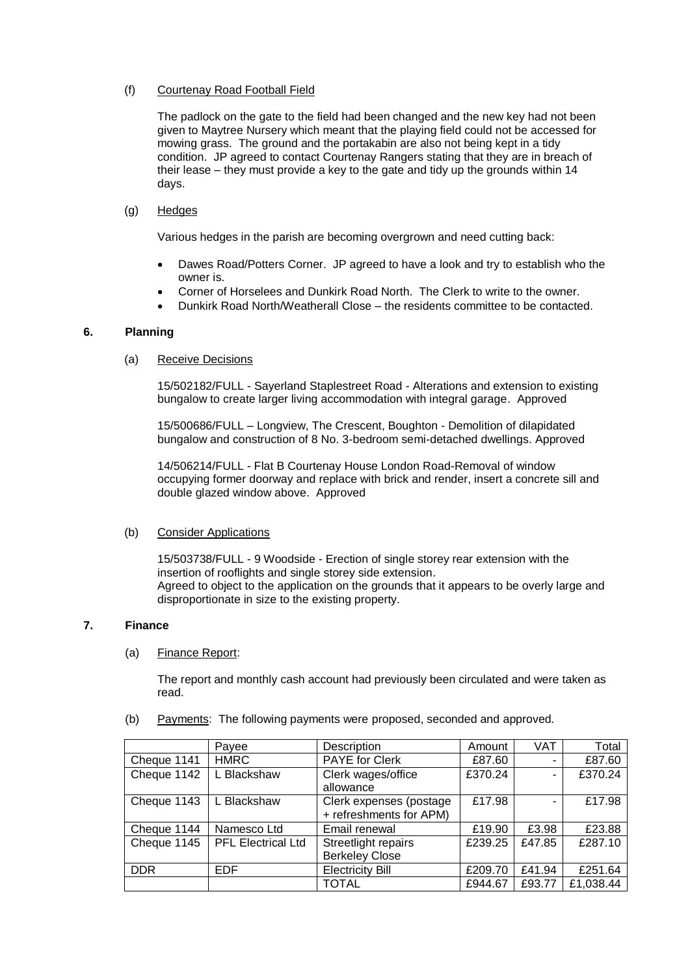# (f) Courtenay Road Football Field

The padlock on the gate to the field had been changed and the new key had not been given to Maytree Nursery which meant that the playing field could not be accessed for mowing grass. The ground and the portakabin are also not being kept in a tidy condition. JP agreed to contact Courtenay Rangers stating that they are in breach of their lease – they must provide a key to the gate and tidy up the grounds within 14 days.

# (g) Hedges

Various hedges in the parish are becoming overgrown and need cutting back:

- Dawes Road/Potters Corner. JP agreed to have a look and try to establish who the owner is.
- Corner of Horselees and Dunkirk Road North. The Clerk to write to the owner.
- Dunkirk Road North/Weatherall Close the residents committee to be contacted.

## **6. Planning**

## (a) Receive Decisions

15/502182/FULL - Sayerland Staplestreet Road - Alterations and extension to existing bungalow to create larger living accommodation with integral garage. Approved

15/500686/FULL – Longview, The Crescent, Boughton - Demolition of dilapidated bungalow and construction of 8 No. 3-bedroom semi-detached dwellings. Approved

14/506214/FULL - Flat B Courtenay House London Road-Removal of window occupying former doorway and replace with brick and render, insert a concrete sill and double glazed window above. Approved

# (b) Consider Applications

15/503738/FULL - 9 Woodside - Erection of single storey rear extension with the insertion of rooflights and single storey side extension. Agreed to object to the application on the grounds that it appears to be overly large and disproportionate in size to the existing property.

### **7. Finance**

### (a) Finance Report:

The report and monthly cash account had previously been circulated and were taken as read.

### (b) Payments: The following payments were proposed, seconded and approved.

|             | Payee                     | Description             | Amount  | <b>VAT</b> | Total     |
|-------------|---------------------------|-------------------------|---------|------------|-----------|
| Cheque 1141 | <b>HMRC</b>               | <b>PAYE</b> for Clerk   | £87.60  | ۰          | £87.60    |
| Cheque 1142 | L Blackshaw               | Clerk wages/office      | £370.24 | ۰          | £370.24   |
|             |                           | allowance               |         |            |           |
| Cheque 1143 | L Blackshaw               | Clerk expenses (postage | £17.98  | ۰          | £17.98    |
|             |                           | + refreshments for APM) |         |            |           |
| Cheque 1144 | Namesco Ltd               | Email renewal           | £19.90  | £3.98      | £23.88    |
| Cheque 1145 | <b>PFL Electrical Ltd</b> | Streetlight repairs     | £239.25 | £47.85     | £287.10   |
|             |                           | <b>Berkeley Close</b>   |         |            |           |
| <b>DDR</b>  | EDF.                      | <b>Electricity Bill</b> | £209.70 | £41.94     | £251.64   |
|             |                           | <b>TOTAL</b>            | £944.67 | £93.77     | £1,038.44 |